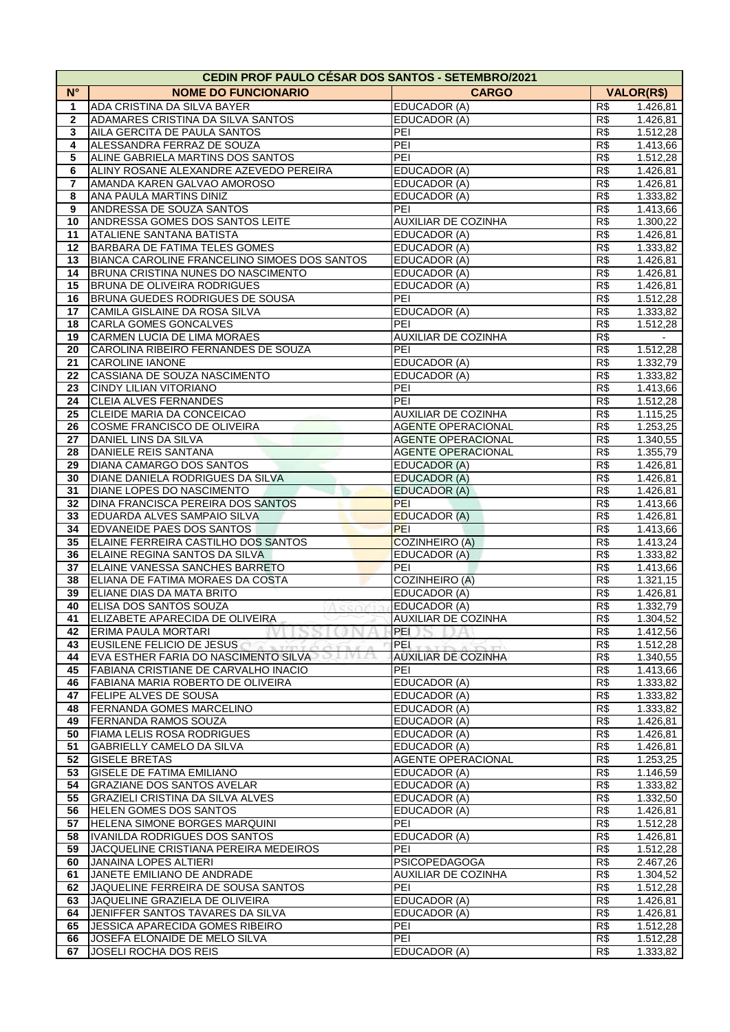|              | <b>CEDIN PROF PAULO CESAR DOS SANTOS - SETEMBRO/2021</b> |                                                   |                                    |  |
|--------------|----------------------------------------------------------|---------------------------------------------------|------------------------------------|--|
| $N^{\circ}$  | <b>NOME DO FUNCIONARIO</b>                               | <b>CARGO</b>                                      | <b>VALOR(R\$)</b>                  |  |
| 1            | ADA CRISTINA DA SILVA BAYER                              | EDUCADOR (A)                                      | R\$<br>1.426,81                    |  |
| $\mathbf{2}$ | ADAMARES CRISTINA DA SILVA SANTOS                        | EDUCADOR (A)                                      | R\$<br>1.426,81                    |  |
| 3            | AILA GERCITA DE PAULA SANTOS                             | PEI                                               | R\$<br>1.512,28                    |  |
| 4            | ALESSANDRA FERRAZ DE SOUZA                               | PEI                                               | R\$<br>1.413,66                    |  |
| 5            | ALINE GABRIELA MARTINS DOS SANTOS                        | PEI                                               | R\$<br>1.512,28                    |  |
| 6            | ALINY ROSANE ALEXANDRE AZEVEDO PEREIRA                   | EDUCADOR (A)                                      | R\$<br>1.426,81                    |  |
| 7            | AMANDA KAREN GALVAO AMOROSO                              | EDUCADOR (A)                                      | R\$<br>1.426,81                    |  |
| 8            | ANA PAULA MARTINS DINIZ                                  | EDUCADOR (A)                                      | R\$<br>1.333,82                    |  |
| 9            | ANDRESSA DE SOUZA SANTOS                                 | PEI                                               | R\$<br>1.413,66                    |  |
| 10           | ANDRESSA GOMES DOS SANTOS LEITE                          | AUXILIAR DE COZINHA                               | R\$<br>1.300,22                    |  |
| 11           | ATALIENE SANTANA BATISTA                                 | EDUCADOR (A)                                      | R\$<br>1.426,81                    |  |
| 12           | <b>BARBARA DE FATIMA TELES GOMES</b>                     | EDUCADOR (A)                                      | R\$<br>1.333,82                    |  |
| 13           | BIANCA CAROLINE FRANCELINO SIMOES DOS SANTOS             | EDUCADOR (A)                                      | R\$<br>1.426,81                    |  |
| 14           | BRUNA CRISTINA NUNES DO NASCIMENTO                       | EDUCADOR (A)                                      | R\$<br>1.426,81                    |  |
| 15           | <b>BRUNA DE OLIVEIRA RODRIGUES</b>                       | EDUCADOR (A)                                      | R\$<br>1.426,81                    |  |
| 16           | BRUNA GUEDES RODRIGUES DE SOUSA                          | PEI                                               | R\$<br>1.512,28                    |  |
| 17           | CAMILA GISLAINE DA ROSA SILVA                            | EDUCADOR (A)                                      | R\$<br>1.333,82                    |  |
| 18           | CARLA GOMES GONCALVES                                    | PEI                                               | R\$<br>1.512,28                    |  |
| 19           | CARMEN LUCIA DE LIMA MORAES                              | AUXILIAR DE COZINHA                               | R\$                                |  |
| 20           | CAROLINA RIBEIRO FERNANDES DE SOUZA                      | PEI                                               | R\$<br>1.512,28                    |  |
| 21           | <b>CAROLINE IANONE</b>                                   | EDUCADOR (A)                                      | R\$<br>1.332,79                    |  |
| 22           | CASSIANA DE SOUZA NASCIMENTO                             | EDUCADOR (A)                                      | R\$<br>1.333,82                    |  |
| 23           | <b>CINDY LILIAN VITORIANO</b>                            | PEI                                               | R\$<br>1.413,66                    |  |
| 24           | CLEIA ALVES FERNANDES                                    | PEI                                               | R\$<br>1.512,28                    |  |
| 25           | CLEIDE MARIA DA CONCEICAO                                | <b>AUXILIAR DE COZINHA</b>                        | R\$<br>1.115,25                    |  |
| 26           | COSME FRANCISCO DE OLIVEIRA                              | <b>AGENTE OPERACIONAL</b>                         | R\$<br>1.253,25                    |  |
| 27           | DANIEL LINS DA SILVA                                     | <b>AGENTE OPERACIONAL</b>                         | R\$<br>1.340,55                    |  |
| 28           | DANIELE REIS SANTANA                                     | <b>AGENTE OPERACIONAL</b>                         | R\$<br>1.355,79                    |  |
| 29           | DIANA CAMARGO DOS SANTOS                                 | <b>EDUCADOR (A)</b>                               | R\$<br>1.426,81                    |  |
| 30           | DIANE DANIELA RODRIGUES DA SILVA                         | <b>EDUCADOR (A)</b>                               | R\$<br>1.426,81                    |  |
| 31           | DIANE LOPES DO NASCIMENTO                                | <b>EDUCADOR (A)</b>                               | R\$<br>1.426,81                    |  |
| 32           | <b>DINA FRANCISCA PEREIRA DOS SANTOS</b>                 | PEI                                               | R\$<br>1.413,66                    |  |
| 33           | <b>EDUARDA ALVES SAMPAIO SILVA</b>                       | <b>EDUCADOR (A)</b>                               | R\$<br>1.426,81                    |  |
| 34           | EDVANEIDE PAES DOS SANTOS                                | PEI                                               | R\$<br>1.413,66                    |  |
| 35           | ELAINE FERREIRA CASTILHO DOS SANTOS                      | COZINHEIRO (A)                                    | R\$<br>1.413,24                    |  |
| 36           | ELAINE REGINA SANTOS DA SILVA                            | EDUCADOR (A)                                      | R\$<br>1.333,82                    |  |
| 37           | ELAINE VANESSA SANCHES BARRETO                           | PEI                                               | R\$<br>1.413,66                    |  |
| 38           | ELIANA DE FATIMA MORAES DA COSTA                         | COZINHEIRO (A)                                    | R\$<br>1.321,15                    |  |
| 39           | ELIANE DIAS DA MATA BRITO                                | EDUCADOR (A)                                      | R\$<br>1.426,81                    |  |
| 40<br>41     | ELISA DOS SANTOS SOUZA<br>Accori                         | EDUCADOR (A)                                      | R\$<br>1.332,79                    |  |
|              | ELIZABETE APARECIDA DE OLIVEIRA                          | <b>AUXILIAR DE COZINHA</b><br>PEI<br>$^{\circ}$ A | R\$<br>1.304,52                    |  |
| 42<br>43     | <b>ERIMA PAULA MORTARI</b><br>EUSILENE FELICIO DE JESUS  | PEL                                               | R\$<br>1.412,56<br>R\$<br>1.512,28 |  |
| 44           | EVA ESTHER FARIA DO NASCIMENTO SILVA                     | <b>AUXILIAR DE COZINHA</b>                        | R\$<br>1.340,55                    |  |
| 45           | <b>FABIANA CRISTIANE DE CARVALHO INACIO</b>              | PEI                                               | R\$<br>1.413,66                    |  |
| 46           | <b>FABIANA MARIA ROBERTO DE OLIVEIRA</b>                 | EDUCADOR (A)                                      | R\$<br>1.333,82                    |  |
| 47           | <b>FELIPE ALVES DE SOUSA</b>                             | EDUCADOR (A)                                      | R\$<br>1.333,82                    |  |
| 48           | <b>FERNANDA GOMES MARCELINO</b>                          | EDUCADOR (A)                                      | R\$<br>1.333,82                    |  |
| 49           | <b>FERNANDA RAMOS SOUZA</b>                              | EDUCADOR (A)                                      | R\$<br>1.426,81                    |  |
| 50           | FIAMA LELIS ROSA RODRIGUES                               | EDUCADOR (A)                                      | R\$<br>1.426,81                    |  |
| 51           | <b>GABRIELLY CAMELO DA SILVA</b>                         | EDUCADOR (A)                                      | R\$<br>1.426,81                    |  |
| 52           | <b>GISELE BRETAS</b>                                     | AGENTE OPERACIONAL                                | R\$<br>1.253,25                    |  |
| 53           | GISELE DE FATIMA EMILIANO                                | EDUCADOR (A)                                      | R\$<br>1.146,59                    |  |
| 54           | <b>GRAZIANE DOS SANTOS AVELAR</b>                        | EDUCADOR (A)                                      | R\$<br>1.333,82                    |  |
| 55           | <b>GRAZIELI CRISTINA DA SILVA ALVES</b>                  | <b>EDUCADOR (A)</b>                               | R\$<br>1.332,50                    |  |
| 56           | <b>HELEN GOMES DOS SANTOS</b>                            | EDUCADOR (A)                                      | R\$<br>1.426,81                    |  |
| 57           | HELENA SIMONE BORGES MARQUINI                            | PEI                                               | R\$<br>1.512,28                    |  |
| 58           | IVANILDA RODRIGUES DOS SANTOS                            | <b>EDUCADOR (A)</b>                               | R\$<br>1.426,81                    |  |
| 59           | JACQUELINE CRISTIANA PEREIRA MEDEIROS                    | PEI                                               | R\$<br>1.512,28                    |  |
| 60           | JANAINA LOPES ALTIERI                                    | <b>PSICOPEDAGOGA</b>                              | R\$<br>2.467,26                    |  |
| 61           | JANETE EMILIANO DE ANDRADE                               | <b>AUXILIAR DE COZINHA</b>                        | R\$<br>1.304,52                    |  |
| 62           | JAQUELINE FERREIRA DE SOUSA SANTOS                       | PEI                                               | R\$<br>1.512,28                    |  |
| 63           | JAQUELINE GRAZIELA DE OLIVEIRA                           | EDUCADOR (A)                                      | R\$<br>1.426,81                    |  |
| 64           | JENIFFER SANTOS TAVARES DA SILVA                         | EDUCADOR (A)                                      | R\$<br>1.426,81                    |  |
| 65           | JESSICA APARECIDA GOMES RIBEIRO                          | PEI                                               | R\$<br>1.512,28                    |  |
| 66           | JOSEFA ELONAIDE DE MELO SILVA                            | PEI                                               | R\$<br>1.512,28                    |  |
| 67           | <b>JOSELI ROCHA DOS REIS</b>                             | EDUCADOR (A)                                      | R\$<br>1.333,82                    |  |